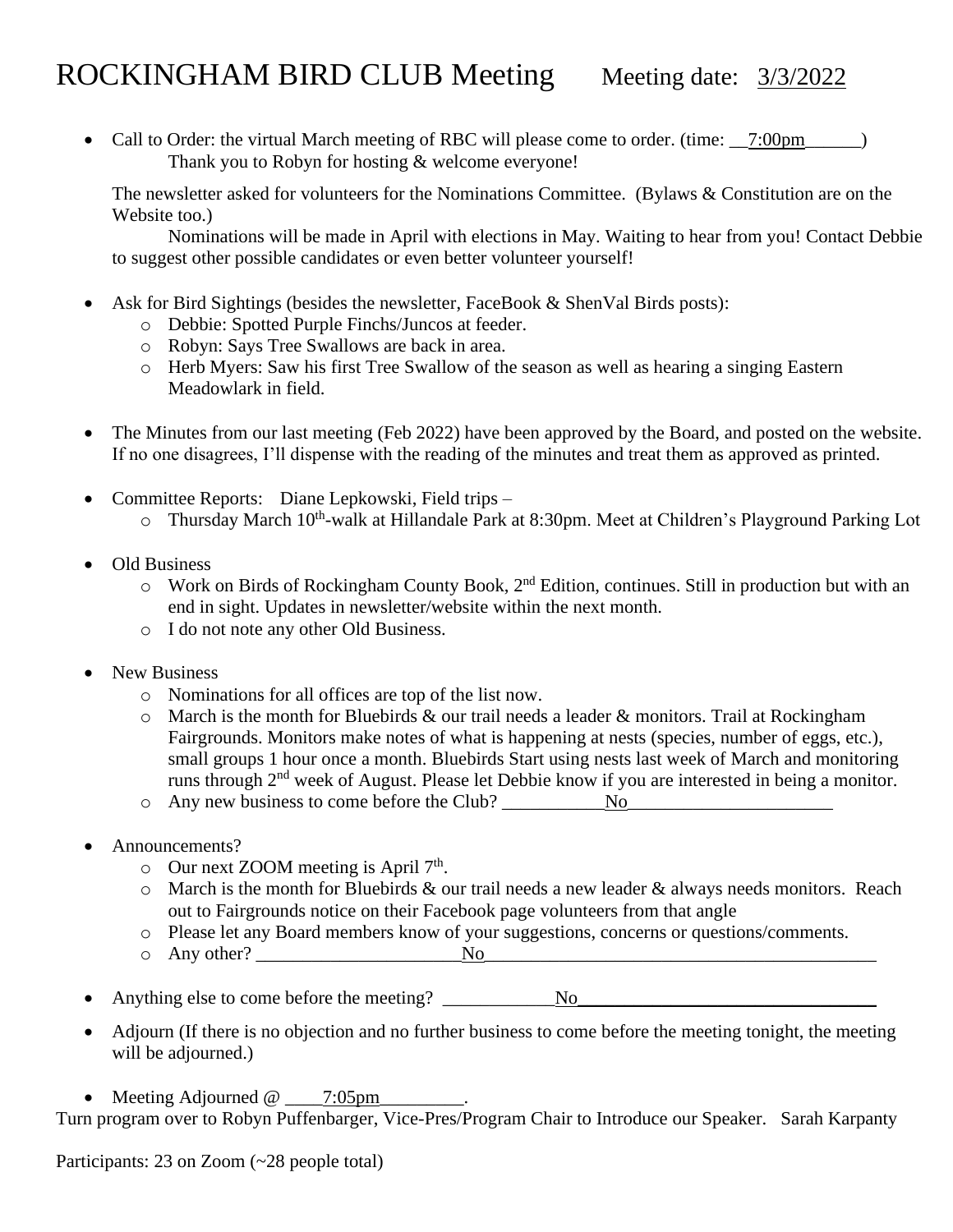## ROCKINGHAM BIRD CLUB Meeting Meeting date: 3/3/2022

• Call to Order: the virtual March meeting of RBC will please come to order. (time: \_\_7:00pm\_\_\_\_\_) Thank you to Robyn for hosting & welcome everyone!

The newsletter asked for volunteers for the Nominations Committee. (Bylaws & Constitution are on the Website too.)

Nominations will be made in April with elections in May. Waiting to hear from you! Contact Debbie to suggest other possible candidates or even better volunteer yourself!

- Ask for Bird Sightings (besides the newsletter, FaceBook & ShenVal Birds posts):
	- o Debbie: Spotted Purple Finchs/Juncos at feeder.
	- o Robyn: Says Tree Swallows are back in area.
	- o Herb Myers: Saw his first Tree Swallow of the season as well as hearing a singing Eastern Meadowlark in field.
- The Minutes from our last meeting (Feb 2022) have been approved by the Board, and posted on the website. If no one disagrees, I'll dispense with the reading of the minutes and treat them as approved as printed.
- Committee Reports: Diane Lepkowski, Field trips
	- o Thursday March 10<sup>th</sup>-walk at Hillandale Park at 8:30pm. Meet at Children's Playground Parking Lot
- Old Business
	- $\circ$  Work on Birds of Rockingham County Book, 2<sup>nd</sup> Edition, continues. Still in production but with an end in sight. Updates in newsletter/website within the next month.
	- o I do not note any other Old Business.
- New Business
	- o Nominations for all offices are top of the list now.
	- $\circ$  March is the month for Bluebirds & our trail needs a leader & monitors. Trail at Rockingham Fairgrounds. Monitors make notes of what is happening at nests (species, number of eggs, etc.), small groups 1 hour once a month. Bluebirds Start using nests last week of March and monitoring runs through 2nd week of August. Please let Debbie know if you are interested in being a monitor.
	- o Any new business to come before the Club? \_\_\_\_\_\_\_\_\_\_\_No\_\_\_\_\_\_\_\_\_\_\_\_\_\_\_\_\_\_\_\_\_\_
- Announcements?
	- $\circ$  Our next ZOOM meeting is April 7<sup>th</sup>.
	- $\circ$  March is the month for Bluebirds & our trail needs a new leader & always needs monitors. Reach out to Fairgrounds notice on their Facebook page volunteers from that angle
	- o Please let any Board members know of your suggestions, concerns or questions/comments.
	- o Any other? \_\_\_\_\_\_\_\_\_\_\_\_\_\_\_\_\_\_\_\_\_\_No\_\_\_\_\_\_\_\_\_\_\_\_\_\_\_\_\_\_\_\_\_\_\_\_\_\_\_\_\_\_\_\_\_\_\_\_\_\_\_\_\_\_
- Anything else to come before the meeting? \_\_\_\_\_\_\_\_\_\_\_\_No\_\_\_\_\_\_\_\_\_\_\_\_\_\_\_\_\_\_\_\_\_\_\_\_\_\_\_\_\_\_\_\_
- Adjourn (If there is no objection and no further business to come before the meeting tonight, the meeting will be adjourned.)
- Meeting Adjourned @ \_\_\_\_\_\_7:05pm\_

Turn program over to Robyn Puffenbarger, Vice-Pres/Program Chair to Introduce our Speaker. Sarah Karpanty

Participants: 23 on Zoom (~28 people total)